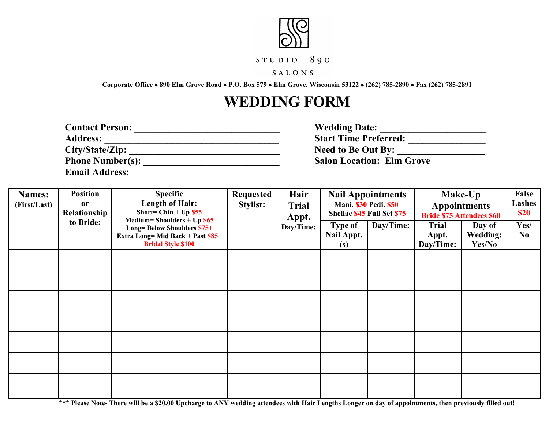

## $STUDIO 890$

## SALONS

**Corporate Office 890 Elm Grove Road P.O. Box 579 Elm Grove, Wisconsin 53122 (262) 785-2890 Fax (262) 785-2891**

## **WEDDING FORM**

| <b>Contact Person:</b>  | <b>Wedding Date:</b>             |
|-------------------------|----------------------------------|
| <b>Address:</b>         | <b>Start Time Preferred:</b>     |
| City/State/Zip:         | <b>Need to Be Out By:</b>        |
| <b>Phone Number(s):</b> | <b>Salon Location: Elm Grove</b> |
| <b>Email Address:</b>   |                                  |

| <b>Names:</b><br>(First/Last) | <b>Position</b><br><b>Specific</b><br><b>Length of Hair:</b><br><b>or</b><br>Short= Chin + $Up$ \$55<br>Relationship<br>Medium=Shoulders + $Up$ \$65<br>to Bride:<br><b>Long= Below Shoulders \$75+</b><br>Extra Long= Mid Back + Past \$85+<br><b>Bridal Style \$100</b> |  | <b>Requested</b><br>Stylist: | Hair<br><b>Trial</b><br>Appt.       | <b>Nail Appointments</b><br><b>Mani. \$30 Pedi. \$50</b><br><b>Shellac \$45 Full Set \$75</b> |                                    | Make-Up<br><b>Appointments</b><br><b>Bride \$75 Attendees \$60</b> |            | False<br>Lashes<br><b>\$20</b> |
|-------------------------------|---------------------------------------------------------------------------------------------------------------------------------------------------------------------------------------------------------------------------------------------------------------------------|--|------------------------------|-------------------------------------|-----------------------------------------------------------------------------------------------|------------------------------------|--------------------------------------------------------------------|------------|--------------------------------|
|                               |                                                                                                                                                                                                                                                                           |  | Day/Time:                    | <b>Type of</b><br>Nail Appt.<br>(s) | Day/Time:                                                                                     | <b>Trial</b><br>Appt.<br>Day/Time: | Day of<br><b>Wedding:</b><br>Yes/No                                | Yes/<br>No |                                |
|                               |                                                                                                                                                                                                                                                                           |  |                              |                                     |                                                                                               |                                    |                                                                    |            |                                |
|                               |                                                                                                                                                                                                                                                                           |  |                              |                                     |                                                                                               |                                    |                                                                    |            |                                |
|                               |                                                                                                                                                                                                                                                                           |  |                              |                                     |                                                                                               |                                    |                                                                    |            |                                |
|                               |                                                                                                                                                                                                                                                                           |  |                              |                                     |                                                                                               |                                    |                                                                    |            |                                |
|                               |                                                                                                                                                                                                                                                                           |  |                              |                                     |                                                                                               |                                    |                                                                    |            |                                |
|                               |                                                                                                                                                                                                                                                                           |  |                              |                                     |                                                                                               |                                    |                                                                    |            |                                |
|                               |                                                                                                                                                                                                                                                                           |  |                              |                                     |                                                                                               |                                    |                                                                    |            |                                |

**\*\*\* Please Note- There will be a \$20.00 Upcharge to ANY wedding attendees with Hair Lengths Longer on day of appointments, then previously filled out!**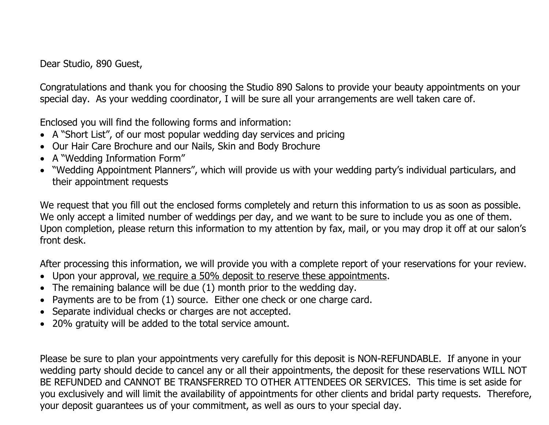Dear Studio, 890 Guest,

Congratulations and thank you for choosing the Studio 890 Salons to provide your beauty appointments on your special day. As your wedding coordinator, I will be sure all your arrangements are well taken care of.

Enclosed you will find the following forms and information:

- A "Short List", of our most popular wedding day services and pricing
- Our Hair Care Brochure and our Nails, Skin and Body Brochure
- A "Wedding Information Form"
- "Wedding Appointment Planners", which will provide us with your wedding party's individual particulars, and their appointment requests

We request that you fill out the enclosed forms completely and return this information to us as soon as possible. We only accept a limited number of weddings per day, and we want to be sure to include you as one of them. Upon completion, please return this information to my attention by fax, mail, or you may drop it off at our salon's front desk.

After processing this information, we will provide you with a complete report of your reservations for your review.

- Upon your approval, we require a 50% deposit to reserve these appointments.
- The remaining balance will be due (1) month prior to the wedding day.
- Payments are to be from (1) source. Either one check or one charge card.
- Separate individual checks or charges are not accepted.
- 20% gratuity will be added to the total service amount.

Please be sure to plan your appointments very carefully for this deposit is NON-REFUNDABLE. If anyone in your wedding party should decide to cancel any or all their appointments, the deposit for these reservations WILL NOT BE REFUNDED and CANNOT BE TRANSFERRED TO OTHER ATTENDEES OR SERVICES. This time is set aside for you exclusively and will limit the availability of appointments for other clients and bridal party requests. Therefore, your deposit guarantees us of your commitment, as well as ours to your special day.